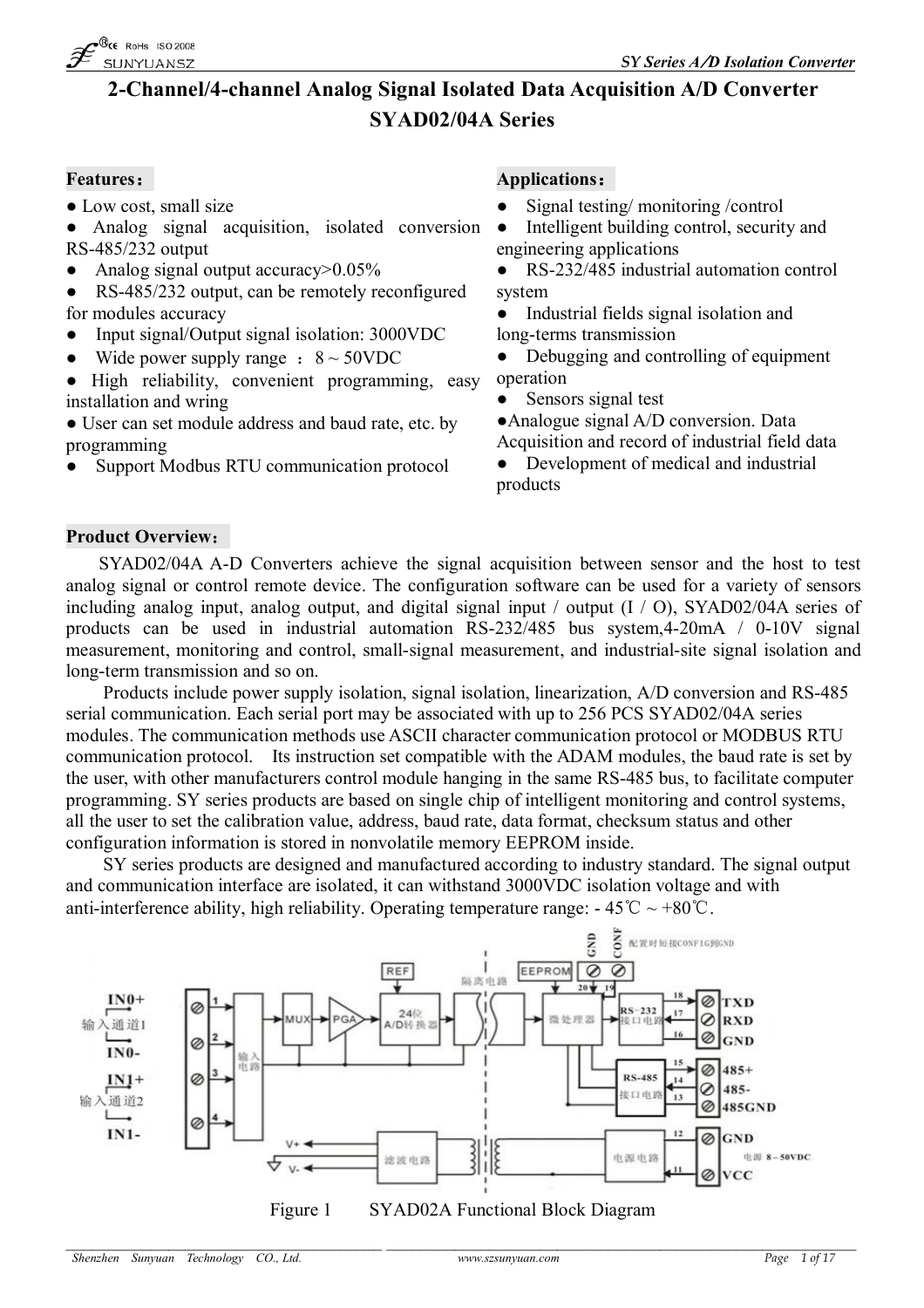

# **2-Channel/4-channel Analog Signal Isolated Data Acquisition A/D Converter SYAD02/04A Series**

• Low cost, small size

● Analog signal acquisition, isolated conversion RS-485/232 output

- Analog signal output accuracy $> 0.05\%$
- RS-485/232 output, can be remotely reconfigured for modules accuracy
- Input signal/Output signal isolation: 3000VDC
- Wide power supply range  $: 8 \sim 50$ VDC
- High reliability, convenient programming, easy installation and wring

• User can set module address and baud rate, etc. by programming

Support Modbus RTU communication protocol

#### **Features: Applications:**

- Signal testing/monitoring /control
- Intelligent building control, security and engineering applications
- RS-232/485 industrial automation control system
- Industrial fields signal isolation and long-terms transmission
- Debugging and controlling of equipment operation
- Sensors signal test
- ●Analogue signal A/D conversion. Data
- Acquisition and record of industrial field data • Development of medical and industrial
- products

# **Product Overview:**

SYAD02/04A A-D Converters achieve the signal acquisition between sensor and the host to test analog signal or control remote device. The configuration software can be used for a variety of sensors including analog input, analog output, and digital signal input / output (I / O), SYAD02/04A series of products can be used in industrial automation RS-232/485 bus system,4-20mA / 0-10V signal measurement, monitoring and control, small-signal measurement, and industrial-site signal isolation and long-term transmission and so on.

Products include power supply isolation, signal isolation, linearization, A/D conversion and RS-485 serial communication. Each serial port may be associated with up to 256 PCS SYAD02/04A series modules. The communication methods use ASCII character communication protocol or MODBUS RTU communication protocol. Its instruction set compatible with the ADAM modules, the baud rate is set by the user, with other manufacturers control module hanging in the same RS-485 bus, to facilitate computer programming. SY series products are based on single chip of intelligent monitoring and control systems, all the user to set the calibration value, address, baud rate, data format, checksum status and other configuration information is stored in nonvolatile memory EEPROM inside.

SY series products are designed and manufactured according to industry standard. The signal output and communication interface are isolated, it can withstand 3000VDC isolation voltage and with anti-interference ability, high reliability. Operating temperature range:  $-45^{\circ}\text{C} \sim +80^{\circ}\text{C}$ .



*\_\_\_\_\_\_\_\_\_\_\_\_\_\_\_\_\_\_\_\_\_\_\_\_\_\_\_\_\_\_\_\_\_\_\_\_\_ \_\_\_\_\_\_\_\_\_\_\_\_\_\_\_\_\_\_\_\_\_\_\_\_\_\_\_\_\_\_\_\_\_\_\_\_\_\_\_\_\_\_\_\_\_\_\_\_\_\_\_\_\_\_\_ Shenzhen Sunyuan Technology CO., Ltd. www.szsunyuan.com Page 1 of 17*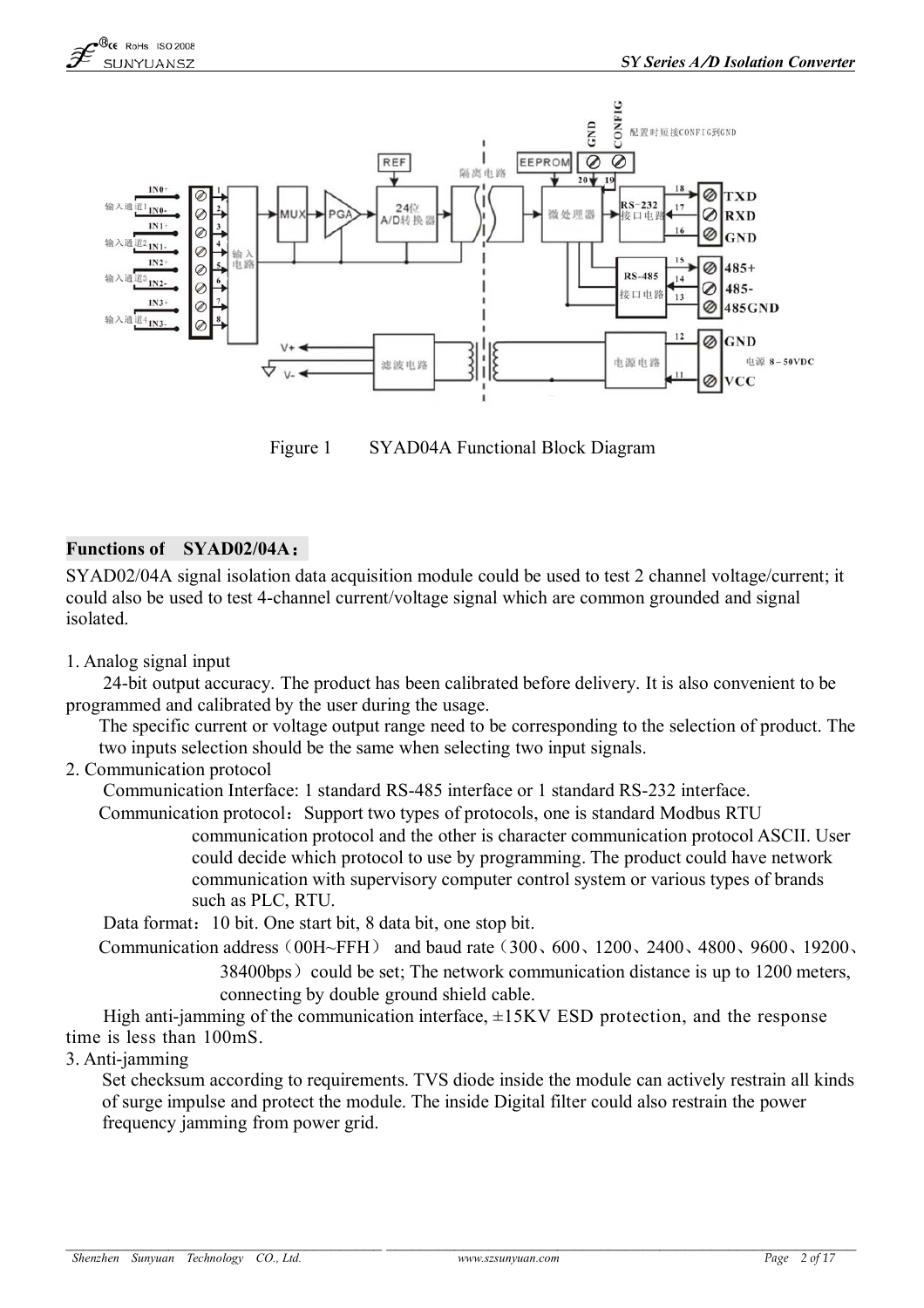

Figure 1 SYAD04A Functional Block Diagram

# **Functions of SYAD02/04A:**

SYAD02/04A signal isolation data acquisition module could be used to test 2 channel voltage/current; it could also be used to test 4-channel current/voltage signal which are common grounded and signal isolated.

1. Analog signal input

24-bit output accuracy. The product has been calibrated before delivery. It is also convenient to be programmed and calibrated by the user during the usage.

The specific current or voltage output range need to be corresponding to the selection of product. The two inputs selection should be the same when selecting two input signals.

2. Communication protocol

Communication Interface: 1 standard RS-485 interface or 1 standard RS-232 interface.

Communication protocol: Support two types of protocols, one is standard Modbus RTU

communication protocol and the other is character communication protocol ASCII. User could decide which protocol to use by programming. The product could have network communication with supervisory computer control system or various types of brands such as PLC, RTU.

Data format: 10 bit. One start bit, 8 data bit, one stop bit.

Communication address(00H~FFH) and baud rate(300、600、1200、2400、4800、9600、19200、  $38400b$ ps) could be set; The network communication distance is up to 1200 meters, connecting by double ground shield cable.

High anti-jamming of the communication interface,  $\pm$ 15KV ESD protection, and the response time is less than 100mS.

3. Anti-jamming

Set checksum according to requirements. TVS diode inside the module can actively restrain all kinds of surge impulse and protect the module. The inside Digital filter could also restrain the power frequency jamming from power grid.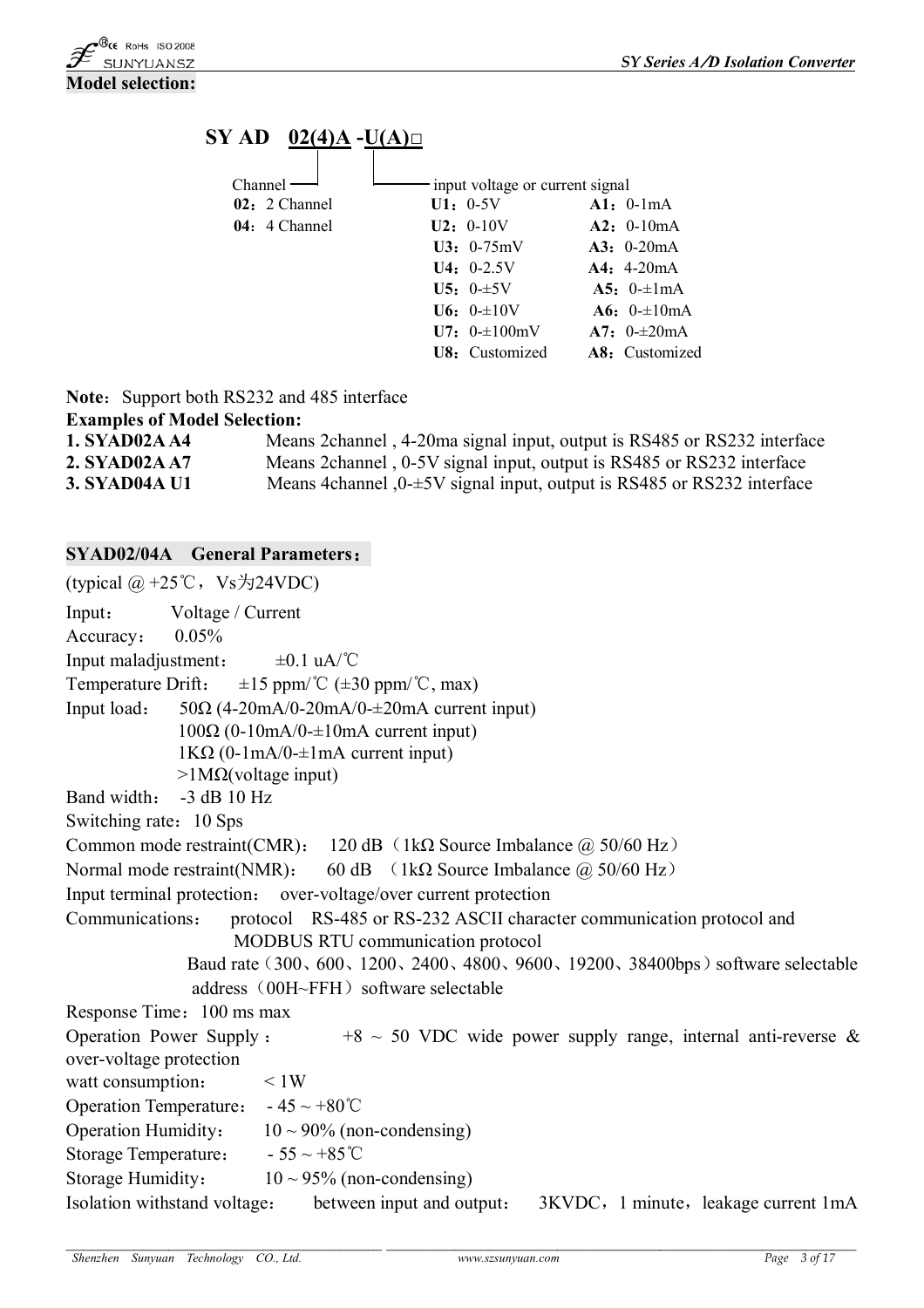



**Note:** Support both RS232 and 485 interface

#### **Examples of Model Selection:**

| <b>1. SYAD02A A4</b> | Means 2 channel, 4-20 ma signal input, output is RS485 or RS232 interface       |
|----------------------|---------------------------------------------------------------------------------|
| 2. SYAD02A A7        | Means 2 channel, 0-5V signal input, output is RS485 or RS232 interface          |
| <b>3. SYAD04A U1</b> | Means 4 channel $,0\text{+}5V$ signal input, output is RS485 or RS232 interface |

#### **SYAD02/04A General Parameters:**

(typical  $@ + 25$ °C, Vs  $\frac{1}{2}$ 24VDC) Input: Voltage / Current Accuracy: 0.05% Input maladjustment:  $±0.1 \text{ uA}$   $\textdegree$   $\textdegree$   $\textdegree$ Temperature Drift:  $\pm 15$  ppm/°C ( $\pm 30$  ppm/°C, max) Input load:  $50\Omega$  (4-20mA/0-20mA/0- $\pm$ 20mA current input)  $100\Omega$  (0-10mA/0- $\pm$ 10mA current input) 1KΩ (0-1mA/0- $\pm$ 1mA current input)  $>1$ MΩ(voltage input) Band width: -3 dB 10 Hz Switching rate: 10 Sps Common mode restraint(CMR): 120 dB (1kΩ Source Imbalance  $\omega$  50/60 Hz) Normal mode restraint(NMR): 60 dB (1kΩ Source Imbalance  $\omega$  50/60 Hz) Input terminal protection: over-voltage/over current protection Communications: protocol RS-485 or RS-232 ASCII character communication protocol and MODBUS RTU communication protocol Baud rate (300、600、1200、2400、4800、9600、19200、38400bps) software selectable address  $(00H~FFH)$  software selectable Response Time: 100 ms max Operation Power Supply :  $+8 \sim 50$  VDC wide power supply range, internal anti-reverse & over-voltage protection watt consumption:  $\leq 1W$ Operation Temperature:  $-45 \sim +80^{\circ}$ C Operation Humidity:  $10 \sim 90\%$  (non-condensing) Storage Temperature:  $-55 \sim +85^{\circ}$ C Storage Humidity:  $10 \sim 95\%$  (non-condensing) Isolation withstand voltage: between input and output: 3KVDC, 1 minute, leakage current 1mA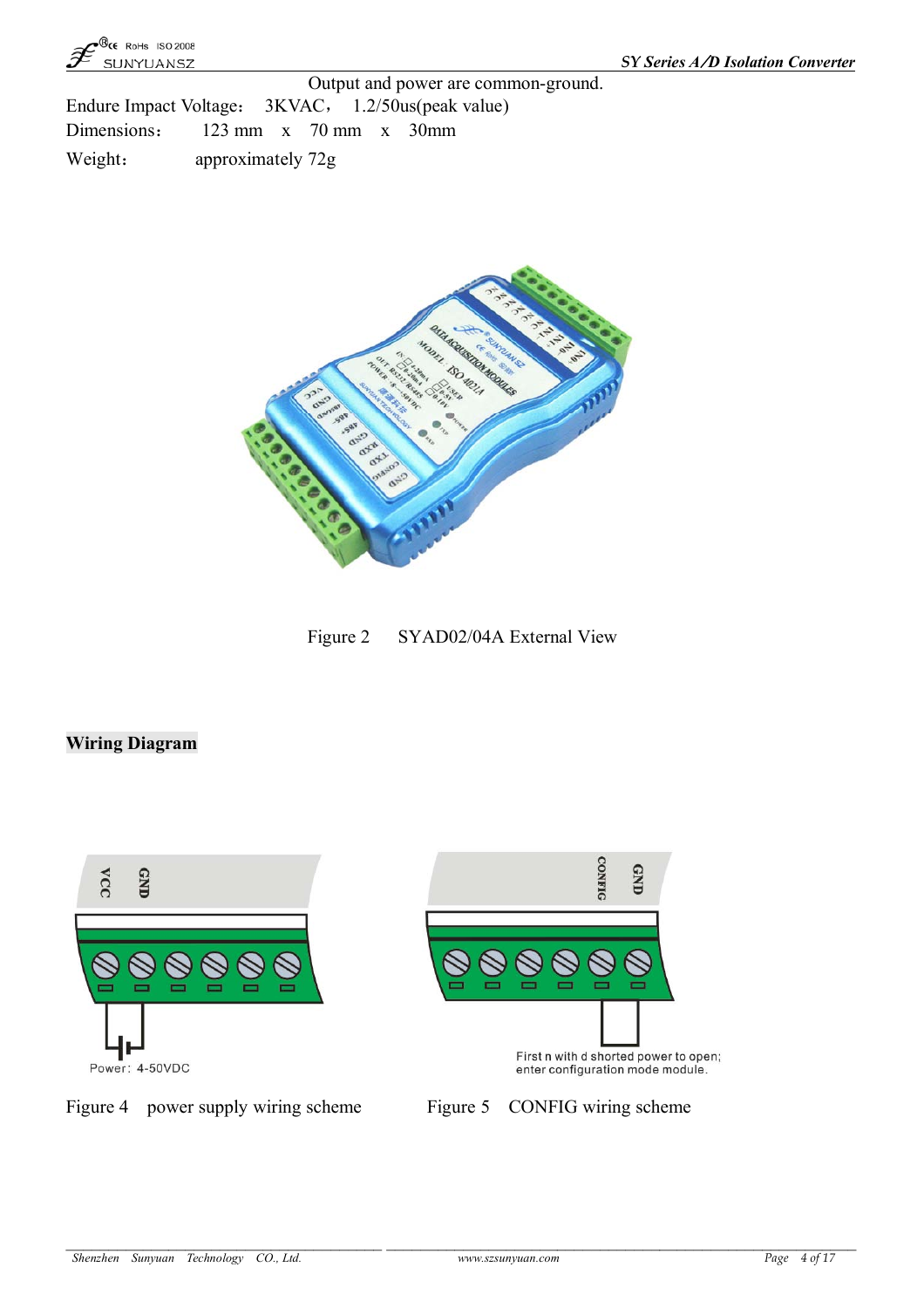

Output and power are common-ground. Endure Impact Voltage: 3KVAC, 1.2/50us(peak value) Dimensions: 123 mm x 70 mm x 30mm Weight: approximately 72g



Figure 2 SYAD02/04A External View

# **Wiring Diagram**



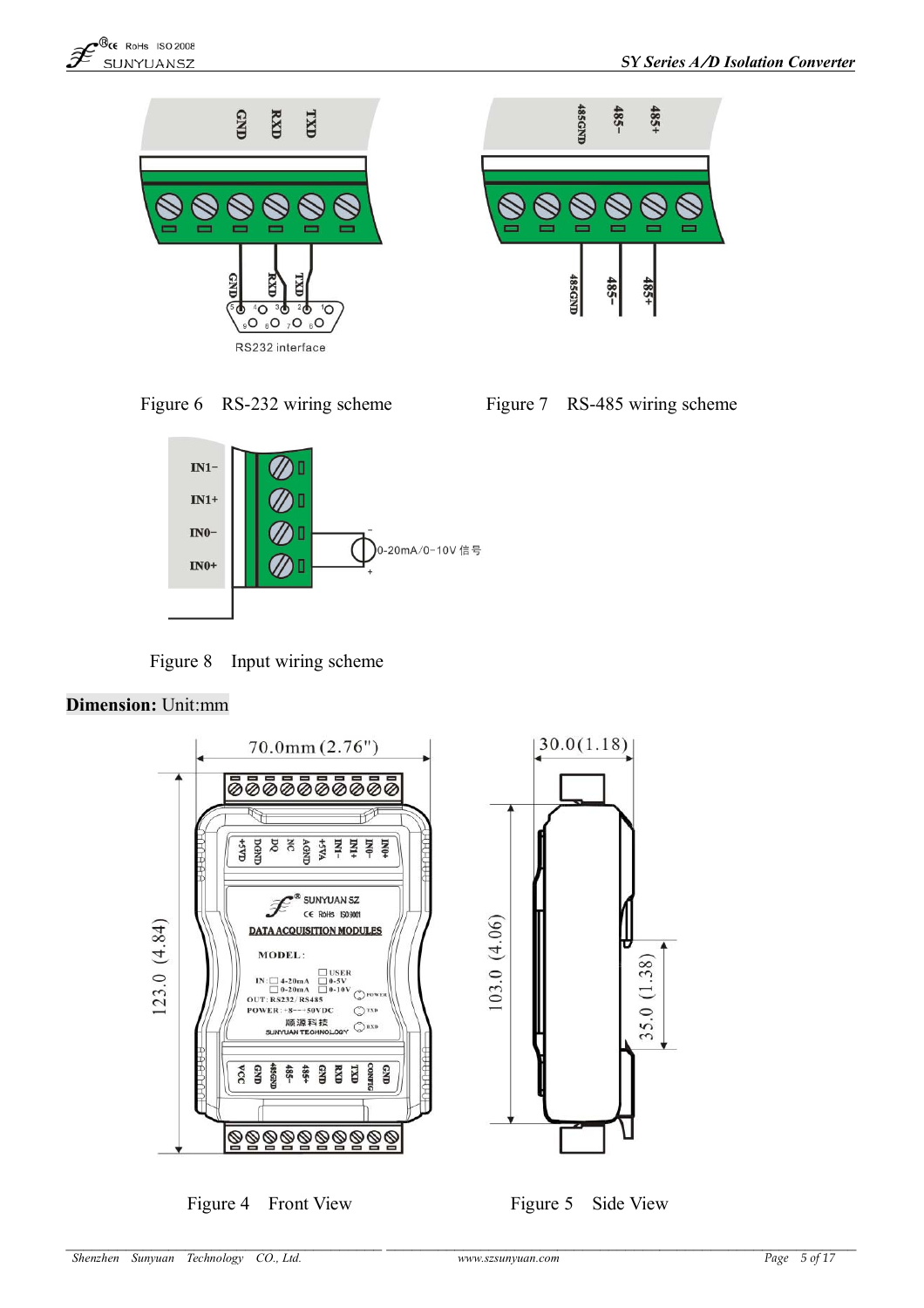





Figure 6 RS-232 wiring scheme Figure 7 RS-485 wiring scheme



Figure 8 Input wiring scheme

#### **Dimension:** Unit:mm



Figure 4 Front View Figure 5 Side View

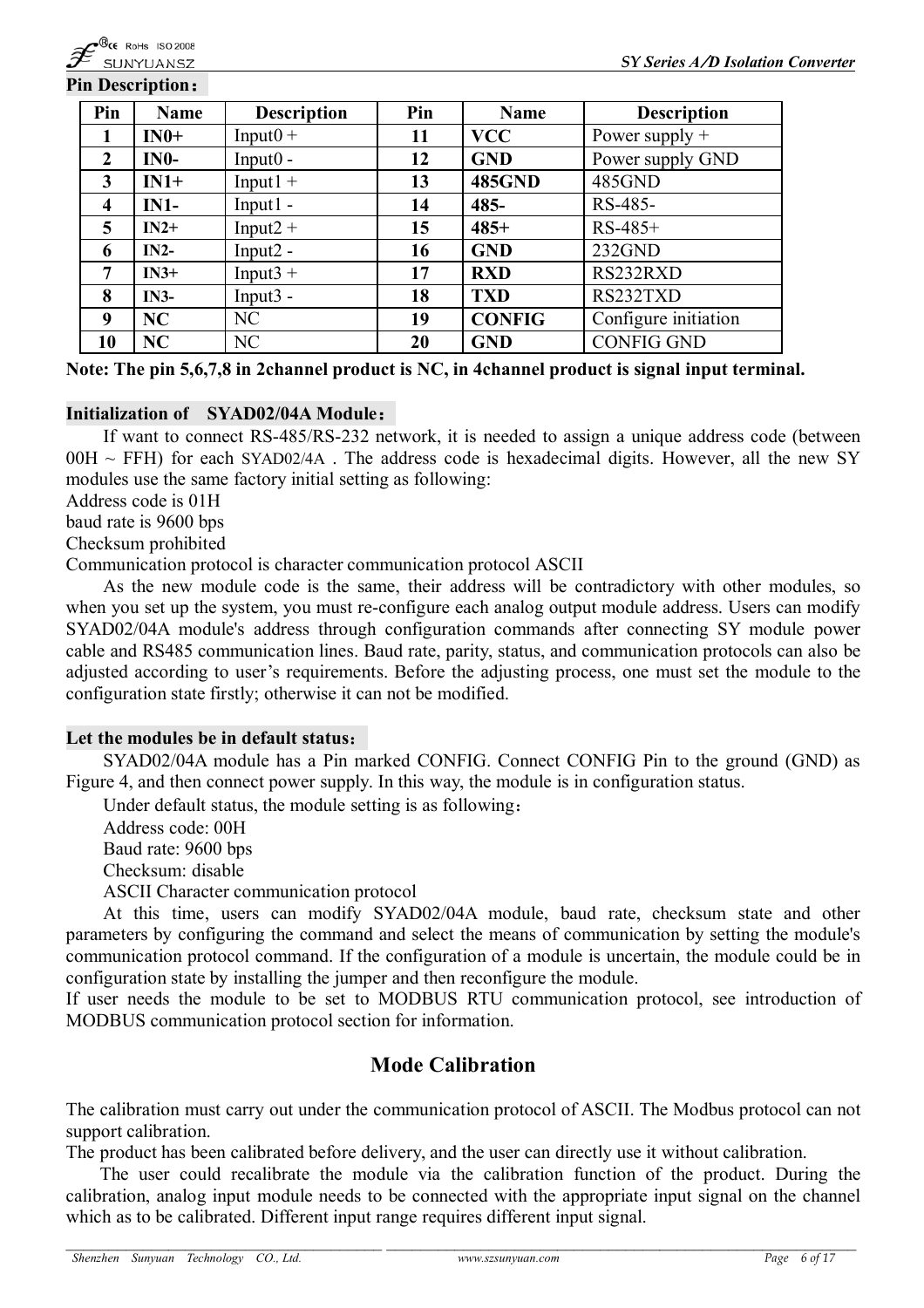#### **Pin Description:**

| Pin                     | <b>Name</b> | <b>Description</b> | Pin | <b>Name</b>   | <b>Description</b>   |
|-------------------------|-------------|--------------------|-----|---------------|----------------------|
| 1                       | $IN0+$      | $Input0 +$         | 11  | <b>VCC</b>    | Power supply $+$     |
| $\boldsymbol{2}$        | $IN0-$      | $Input0 -$         | 12  | <b>GND</b>    | Power supply GND     |
| $\mathbf{3}$            | $IN1+$      | $Input1 +$         | 13  | <b>485GND</b> | 485GND               |
| $\overline{\mathbf{4}}$ | $IN1-$      | $Input1 -$         | 14  | $485 -$       | RS-485-              |
| 5                       | $IN2+$      | $Input2 +$         | 15  | $485+$        | $RS-485+$            |
| 6                       | $IN2-$      | $Input2 -$         | 16  | <b>GND</b>    | 232GND               |
| 7                       | $IN3+$      | $Input3 +$         | 17  | <b>RXD</b>    | RS232RXD             |
| 8                       | $IN3-$      | $Input3 -$         | 18  | <b>TXD</b>    | RS232TXD             |
| 9                       | NC          | NC                 | 19  | <b>CONFIG</b> | Configure initiation |
| 10                      | NC          | NC                 | 20  | <b>GND</b>    | <b>CONFIG GND</b>    |

**Note: The pin 5,6,7,8 in 2channel product is NC, in 4channel product is signal input terminal.**

#### **Initialization of SYAD02/04A Module:**

If want to connect RS-485/RS-232 network, it is needed to assign a unique address code (between  $00H \sim FFH$ ) for each SYAD02/4A. The address code is hexadecimal digits. However, all the new SY modules use the same factory initial setting as following:

Address code is 01H

baud rate is 9600 bps

Checksum prohibited

Communication protocol is character communication protocol ASCII

As the new module code is the same, their address will be contradictory with other modules, so when you set up the system, you must re-configure each analog output module address. Users can modify SYAD02/04A module's address through configuration commands after connecting SY module power cable and RS485 communication lines. Baud rate, parity, status, and communication protocols can also be adjusted according to user's requirements. Before the adjusting process, one must set the module to the configuration state firstly; otherwise it can not be modified.

#### **Let the modules be in default status:**

SYAD02/04A module has a Pin marked CONFIG. Connect CONFIG Pin to the ground (GND) as Figure 4, and then connect power supply. In this way, the module is in configuration status.

Under default status, the module setting is as following:

Address code: 00H Baud rate: 9600 bps Checksum: disable ASCII Character communication protocol

At this time, users can modify SYAD02/04A module, baud rate, checksum state and other parameters by configuring the command and select the means of communication by setting the module's communication protocol command. If the configuration of a module is uncertain, the module could be in configuration state by installing the jumper and then reconfigure the module.

If user needs the module to be set to MODBUS RTU communication protocol, see introduction of MODBUS communication protocol section for information.

# **Mode Calibration**

The calibration must carry out under the communication protocol of ASCII. The Modbus protocol can not support calibration.

The product has been calibrated before delivery, and the user can directly use it without calibration.

The user could recalibrate the module via the calibration function of the product. During the calibration, analog input module needs to be connected with the appropriate input signal on the channel which as to be calibrated. Different input range requires different input signal.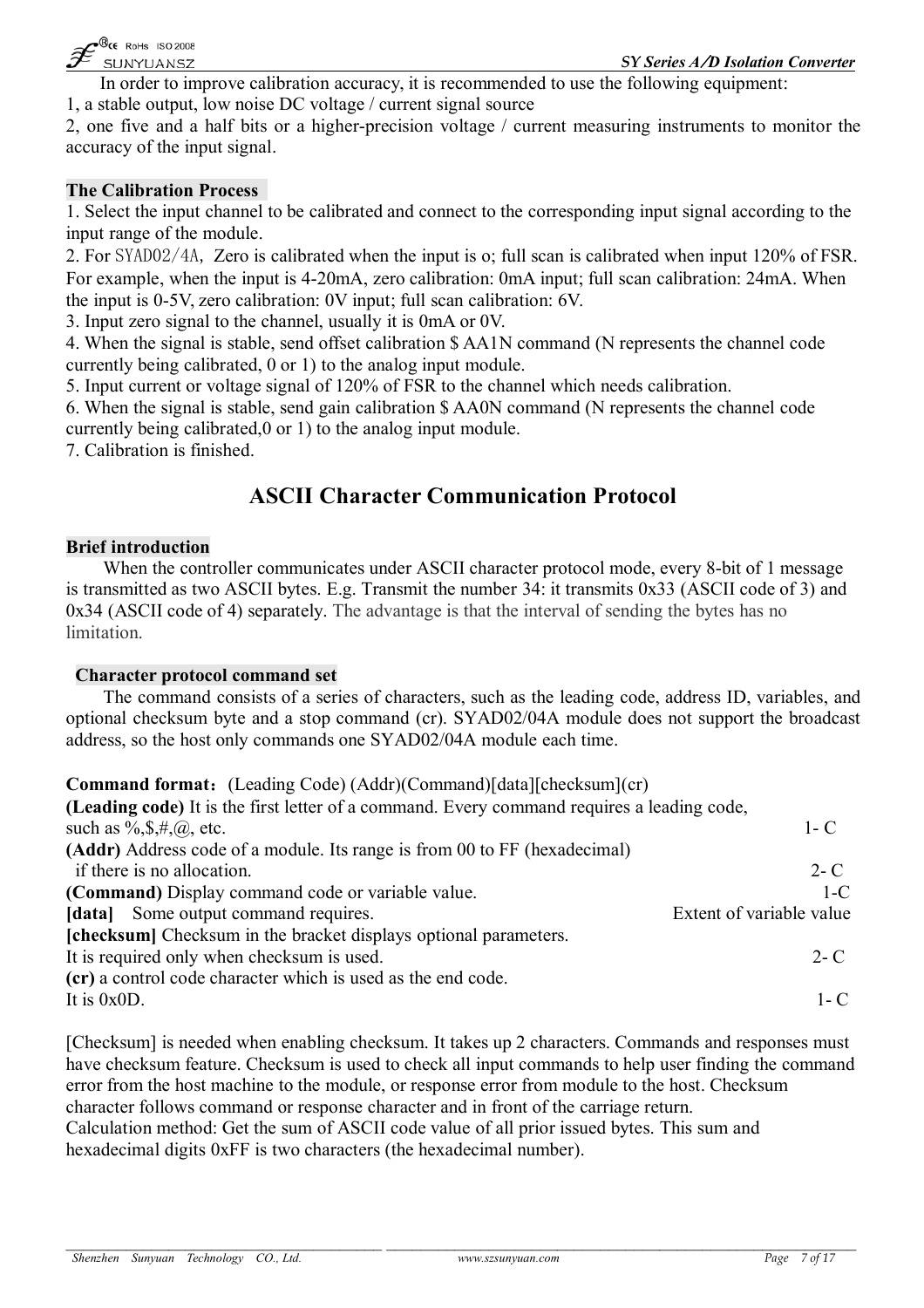

In order to improve calibration accuracy, it is recommended to use the following equipment: 1, a stable output, low noise DC voltage / current signal source

2, one five and a half bits or a higher-precision voltage / current measuring instruments to monitor the accuracy of the input signal.

#### **The Calibration Process**

1. Select the input channel to be calibrated and connect to the corresponding input signal according to the input range of the module.

2. For SYAD02/4A, Zero is calibrated when the input is o; full scan is calibrated when input 120% of FSR. For example, when the input is 4-20mA, zero calibration: 0mA input; full scan calibration: 24mA. When the input is 0-5V, zero calibration: 0V input; full scan calibration: 6V.

3. Input zero signal to the channel, usually it is 0mA or 0V.

4. When the signal is stable, send offset calibration \$ AA1N command (N represents the channel code currently being calibrated, 0 or 1) to the analog input module.

5. Input current or voltage signal of 120% of FSR to the channel which needs calibration.

6. When the signal is stable, send gain calibration \$ AA0N command (N represents the channel code currently being calibrated,0 or 1) to the analog input module.

7. Calibration is finished.

# **ASCII Character Communication Protocol**

#### **Brief introduction**

When the controller communicates under ASCII character protocol mode, every 8-bit of 1 message is transmitted as two ASCII bytes. E.g. Transmit the number 34: it transmits 0x33 (ASCII code of 3) and 0x34 (ASCII code of 4) separately. The advantage is that the interval of sending the bytes has no limitation.

#### **Character protocol command set**

The command consists of a series of characters, such as the leading code, address ID, variables, and optional checksum byte and a stop command (cr). SYAD02/04A module does not support the broadcast address, so the host only commands one SYAD02/04A module each time.

**Command format:**(Leading Code) (Addr)(Command)[data][checksum](cr)

| (Leading code) It is the first letter of a command. Every command requires a leading code, |                          |
|--------------------------------------------------------------------------------------------|--------------------------|
| such as $\%,$ \$, #, @, etc.                                                               | $1 - C$                  |
| (Addr) Address code of a module. Its range is from 00 to FF (hexadecimal)                  |                          |
| if there is no allocation.                                                                 | $2 - C$                  |
| (Command) Display command code or variable value.                                          | $1-C$                    |
| [data] Some output command requires.                                                       | Extent of variable value |
| <b>[checksum]</b> Checksum in the bracket displays optional parameters.                    |                          |
| It is required only when checksum is used.                                                 | $2 - C$                  |
| (cr) a control code character which is used as the end code.                               |                          |
| It is $0x0D$ .                                                                             | 1 - C                    |
|                                                                                            |                          |

[Checksum] is needed when enabling checksum. It takes up 2 characters. Commands and responses must have checksum feature. Checksum is used to check all input commands to help user finding the command error from the host machine to the module, or response error from module to the host. Checksum character follows command or response character and in front of the carriage return.

Calculation method: Get the sum of ASCII code value of all prior issued bytes. This sum and hexadecimal digits 0xFF is two characters (the hexadecimal number).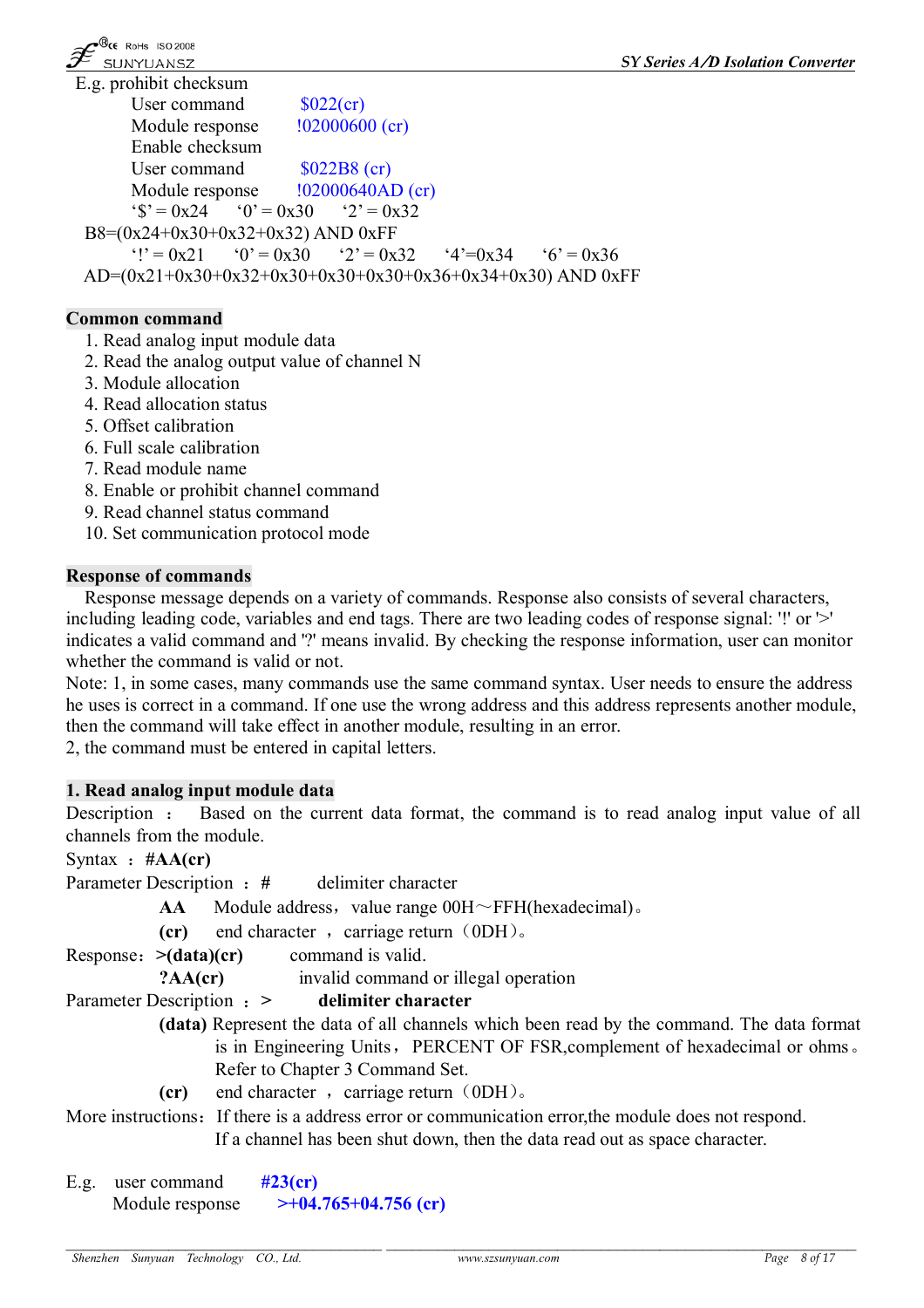

g. prohibit checksum User command  $$022$ (cr) Module response  $102000600$  (cr) Enable checksum User command \$022B8 (cr) Module response  $102000640AD$  (cr)  $f's' = 0x24$   $f>0' = 0x30$   $f>2' = 0x32$ B8=(0x24+0x30+0x32+0x32) AND 0xFF  $Y = 0x21$   $Q' = 0x30$   $Q' = 0x32$   $Q' = 0x34$   $Q' = 0x36$ AD=(0x21+0x30+0x32+0x30+0x30+0x30+0x36+0x34+0x30) AND 0xFF

# **Common command**

- 1. Read analog input module data
- 2. Read the analog output value of channel N
- 3. Module allocation
- 4. Read allocation status
- 5. Offset calibration
- 6. Full scale calibration
- 7. Read module name
- 8. Enable or prohibit channel command
- 9. Read channel status command
- 10. Set communication protocol mode

#### **Response of commands**

Response message depends on a variety of commands. Response also consists of several characters, including leading code, variables and end tags. There are two leading codes of response signal: '!' or '>' indicates a valid command and '?' means invalid. By checking the response information, user can monitor whether the command is valid or not.

Note: 1, in some cases, many commands use the same command syntax. User needs to ensure the address he uses is correct in a command. If one use the wrong address and this address represents another module, then the command will take effect in another module, resulting in an error.

2, the command must be entered in capital letters.

# **1. Read analog input module data**

Description : Based on the current data format, the command is to read analog input value of all channels from the module.

Syntax :**#AA(cr)**

```
Parameter Description :# delimiter character
```
**AA** Module address, value range  $00H \sim FFH$ (hexadecimal).

**(cr)** end character, carriage return (0DH).

Response:**>(data)(cr)** command is valid.

**?AA(cr)** invalid command or illegal operation

# Parameter Description :**> delimiter character**

- **(data)** Represent the data of all channels which been read by the command. The data format is in Engineering Units, PERCENT OF FSR, complement of hexadecimal or ohms. Refer to Chapter 3 Command Set.
	- **(cr)** end character, carriage return (0DH).

More instructions: If there is a address error or communication error, the module does not respond. If a channel has been shut down, then the data read out as space character.

E.g. user command **#23(cr)** Module response **>+04.765+04.756 (cr)**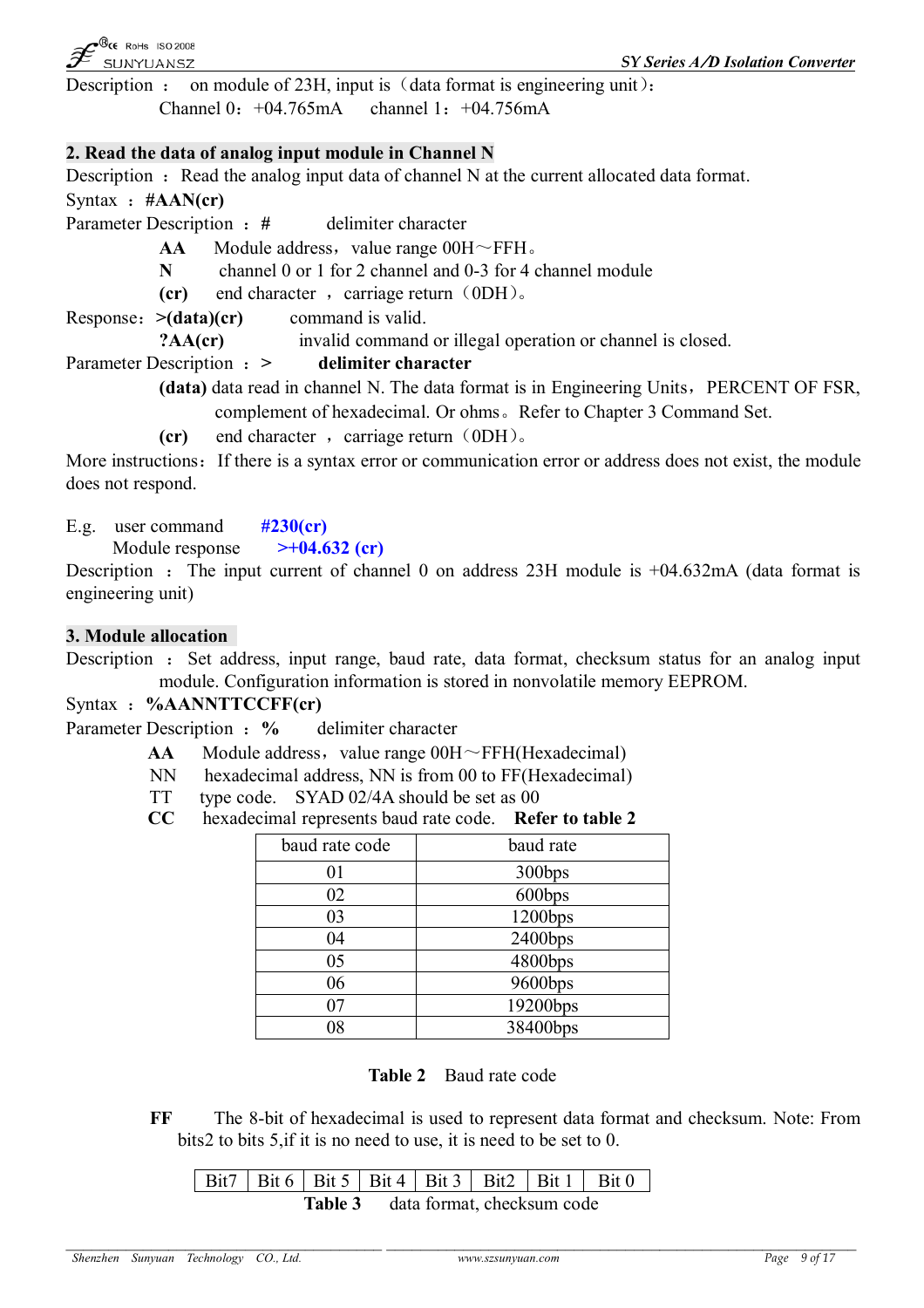$\mathcal{B}_{\mathsf{CE}}$  RoHs ISO 2008 SUNYUANSZ

Description : on module of 23H, input is  $(data format is engineering unit):$ 

Channel 0:+04.765mA channel 1:+04.756mA

#### **2. Read the data of analog input module in Channel N**

Description  $\cdot$  Read the analog input data of channel N at the current allocated data format. Syntax :**#AAN(cr)**

Parameter Description : # delimiter character

**AA** Module address, value range  $00H \sim FFH$ .

**N** channel 0 or 1 for 2 channel and 0-3 for 4 channel module

**(cr)** end character, carriage return (0DH).

Response:**>(data)(cr)** command is valid.

**?AA(cr)** invalid command or illegal operation or channel is closed.

# Parameter Description :**> delimiter character**

- **(data)** data read in channel N. The data format is in Engineering Units, PERCENT OF FSR, complement of hexadecimal. Or ohms。Refer to Chapter 3 Command Set.
- **(cr)** end character, carriage return (0DH).

More instructions: If there is a syntax error or communication error or address does not exist, the module does not respond.

E.g. user command **#230(cr)**

Module response **>+04.632 (cr)**

Description : The input current of channel 0 on address  $23H$  module is  $+04.632mA$  (data format is engineering unit)

# **3. Module allocation**

Description : Set address, input range, baud rate, data format, checksum status for an analog input module. Configuration information is stored in nonvolatile memory EEPROM.

Syntax :**%AANNTTCCFF(cr)**

Parameter Description : % delimiter character

- $AA$  Module address, value range  $00H \sim FFH(Hexadecimal)$
- NN hexadecimal address, NN is from 00 to FF(Hexadecimal)
- TT type code. SYAD 02/4A should be set as 00
- **CC** hexadecimal represents baud rate code. **Refer to table 2**

| baud rate code | baud rate  |
|----------------|------------|
| 01             | 300bps     |
| 02             | 600bps     |
| 03             | $1200$ bps |
| 04             | $2400$ bps |
| 05             | 4800bps    |
| 06             | 9600bps    |
| 07             | 19200bps   |
| 08             | 38400bps   |

**Table 2** Baud rate code

**FF** The 8-bit of hexadecimal is used to represent data format and checksum. Note: From bits2 to bits 5,if it is no need to use, it is need to be set to 0.

|  | Bit7   Bit 6   Bit 5   Bit 4   Bit 3   Bit2   Bit 1   Bit 0 |  |  |  |
|--|-------------------------------------------------------------|--|--|--|
|  | Table 3 data format, checksum code                          |  |  |  |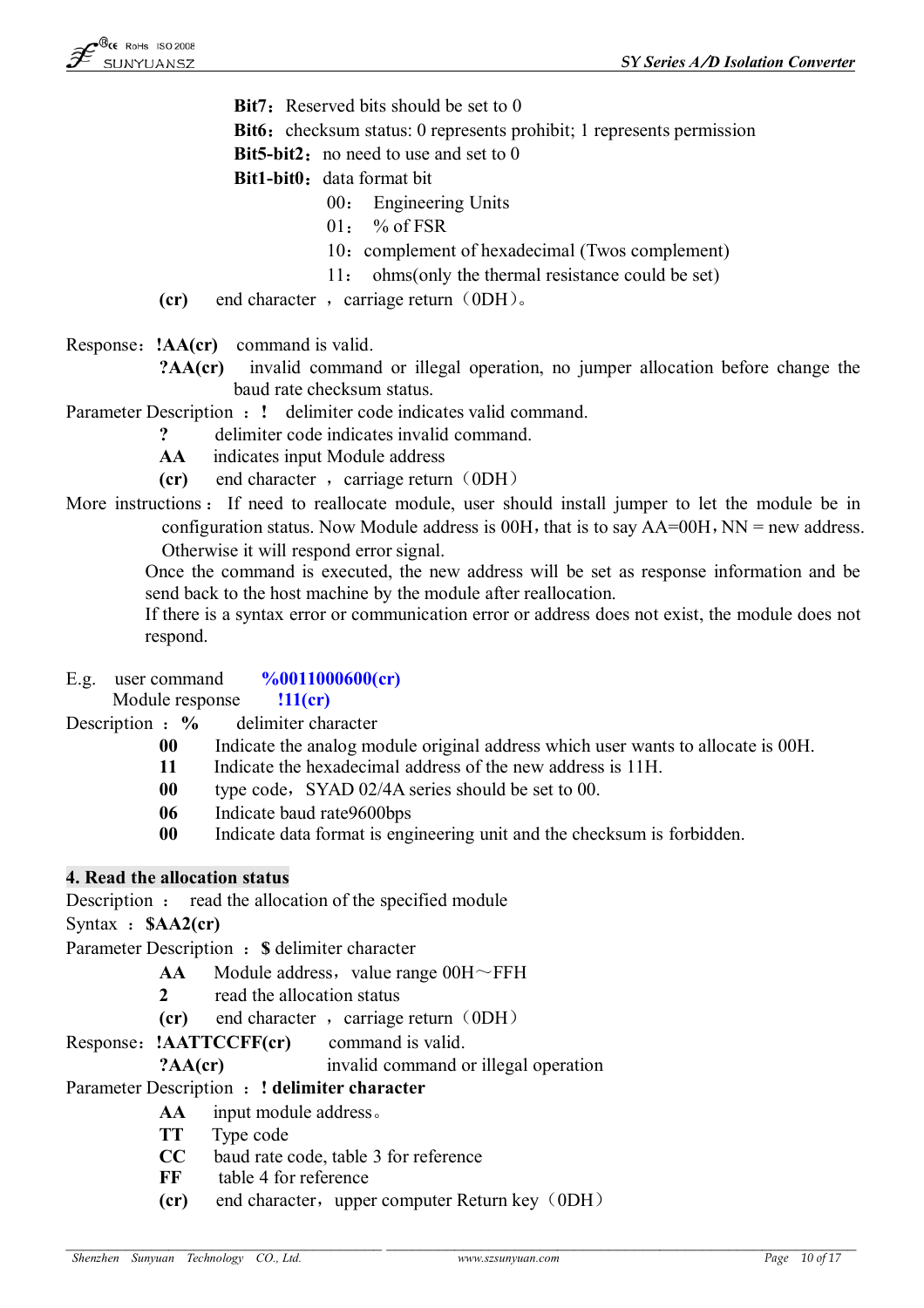- **Bit7**: Reserved bits should be set to 0
- **Bit6:** checksum status: 0 represents prohibit; 1 represents permission

**Bit5-bit2:** no need to use and set to 0

**Bit1-bit0:** data format bit

- 00: Engineering Units
- 01: % of FSR
- 10: complement of hexadecimal (Twos complement)
- 11: ohms(only the thermal resistance could be set)
- **(cr)** end character, carriage return (0DH).
- Response:**!AA(cr)** command is valid.
	- **?AA(cr)** invalid command or illegal operation, no jumper allocation before change the baud rate checksum status.
- Parameter Description : ! delimiter code indicates valid command.
	- **?** delimiter code indicates invalid command.
	- **AA** indicates input Module address
	- **(cr)** end character, carriage return (0DH)
- More instructions : If need to reallocate module, user should install jumper to let the module be in configuration status. Now Module address is  $00H$ , that is to say  $AA=00H$ , NN = new address. Otherwise it will respond error signal.

Once the command is executed, the new address will be set as response information and be send back to the host machine by the module after reallocation.

If there is a syntax error or communication error or address does not exist, the module does not respond.

#### E.g. user command **%0011000600(cr)**

Module response **!11(cr)**

Description : % delimiter character

- **00** Indicate the analog module original address which user wants to allocate is 00H.
- **11** Indicate the hexadecimal address of the new address is 11H.
- **00** type code, SYAD 02/4A series should be set to 00.
- **06** Indicate baud rate9600bps
- **00** Indicate data format is engineering unit and the checksum is forbidden.

# **4. Read the allocation status**

Description : read the allocation of the specified module

Syntax :**\$AA2(cr)**

Parameter Description :**\$** delimiter character

- **AA** Module address, value range  $00H \sim FFH$
- **2** read the allocation status
- **(cr)** end character, carriage return (0DH)

Response:**!AATTCCFF(cr)** command is valid.

#### **?AA(cr)** invalid command or illegal operation

Parameter Description :**! delimiter character**

- **AA** input module address。
- **TT** Type code
- **CC** baud rate code, table 3 for reference
- **FF** table 4 for reference
- **(cr)** end character, upper computer Return key (0DH)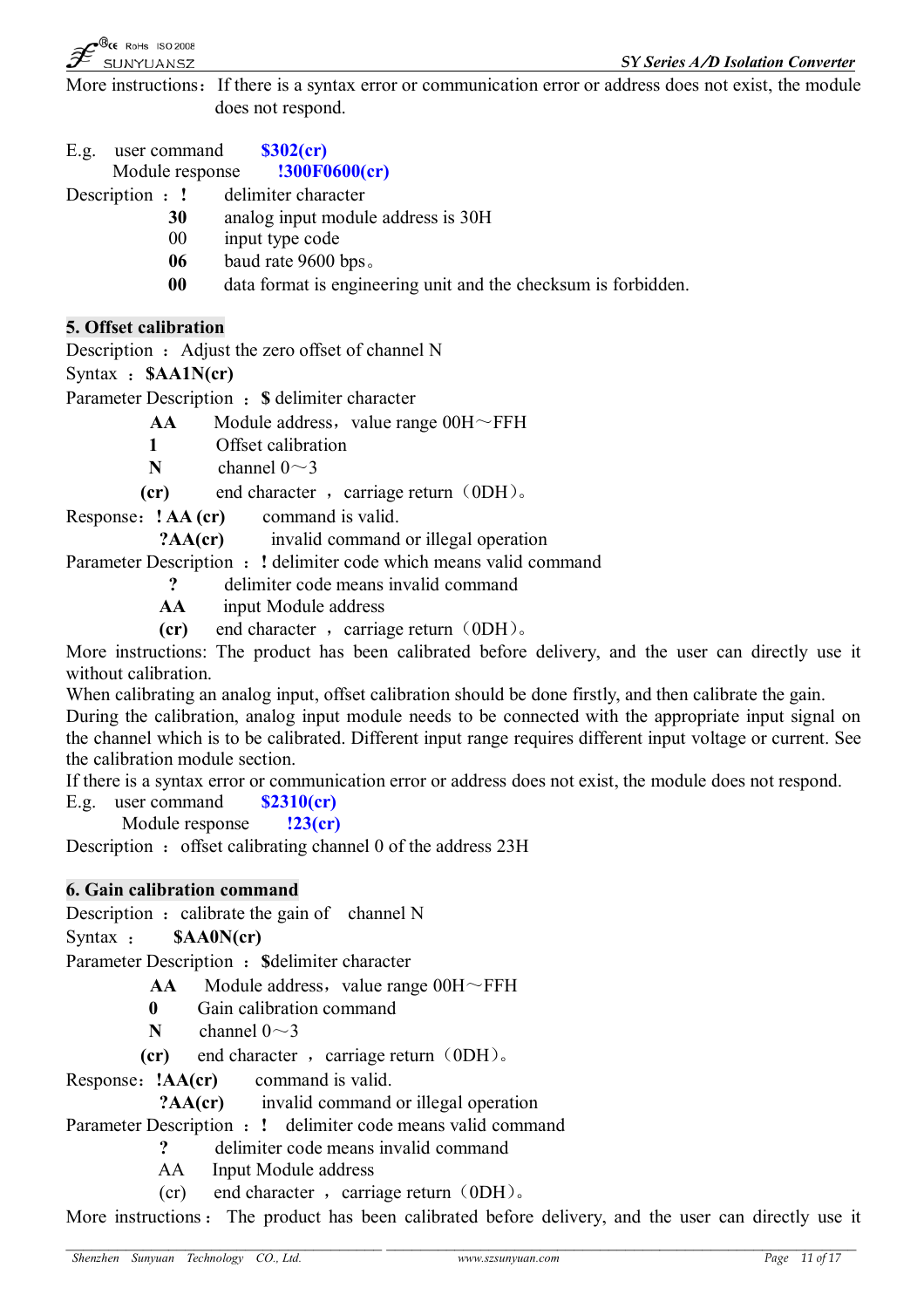*SY Series A/D Isolation Converter*

More instructions: If there is a syntax error or communication error or address does not exist, the module does not respond.

E.g. user command **\$302(cr)**

Module response **!300F0600(cr)**

Description :**!** delimiter character

- **30** analog input module address is 30H
- 00 input type code
- **06** baud rate 9600 bps。
- **00** data format is engineering unit and the checksum is forbidden.

# **5. Offset calibration**

Description : Adjust the zero offset of channel N

Syntax :**\$AA1N(cr)**

Parameter Description :**\$** delimiter character

- $AA$  Module address, value range  $00H \sim FFH$
- **1** Offset calibration
- **N** channel  $0 \sim 3$
- **(cr)** end character , carriage return (0DH).
- Response:**! AA (cr)** command is valid.

**?AA(cr)** invalid command or illegal operation

Parameter Description : ! delimiter code which means valid command

- **?** delimiter code means invalid command
- **AA** input Module address
- **(cr)** end character, carriage return (0DH).

More instructions: The product has been calibrated before delivery, and the user can directly use it without calibration.

When calibrating an analog input, offset calibration should be done firstly, and then calibrate the gain.

During the calibration, analog input module needs to be connected with the appropriate input signal on the channel which is to be calibrated. Different input range requires different input voltage or current. See the calibration module section.

If there is a syntax error or communication error or address does not exist, the module does not respond.

E.g. user command **\$2310(cr)**

Module response **!23(cr)**

Description : offset calibrating channel 0 of the address  $23H$ 

# **6. Gain calibration command**

Description : calibrate the gain of channel  $N$ 

Syntax : **\$AA0N(cr)**

Parameter Description : **\$delimiter character** 

- $AA$  Module address, value range  $00H \sim FFH$
- **0** Gain calibration command
- **N** channel  $0 \sim 3$
- **(cr)** end character, carriage return (0DH).

Response:**!AA(cr)** command is valid.

# **?AA(cr)** invalid command or illegal operation

Parameter Description :**!** delimiter code means valid command

**?** delimiter code means invalid command

AA Input Module address

(cr) end character, carriage return  $(0DH)$ .

More instructions : The product has been calibrated before delivery, and the user can directly use it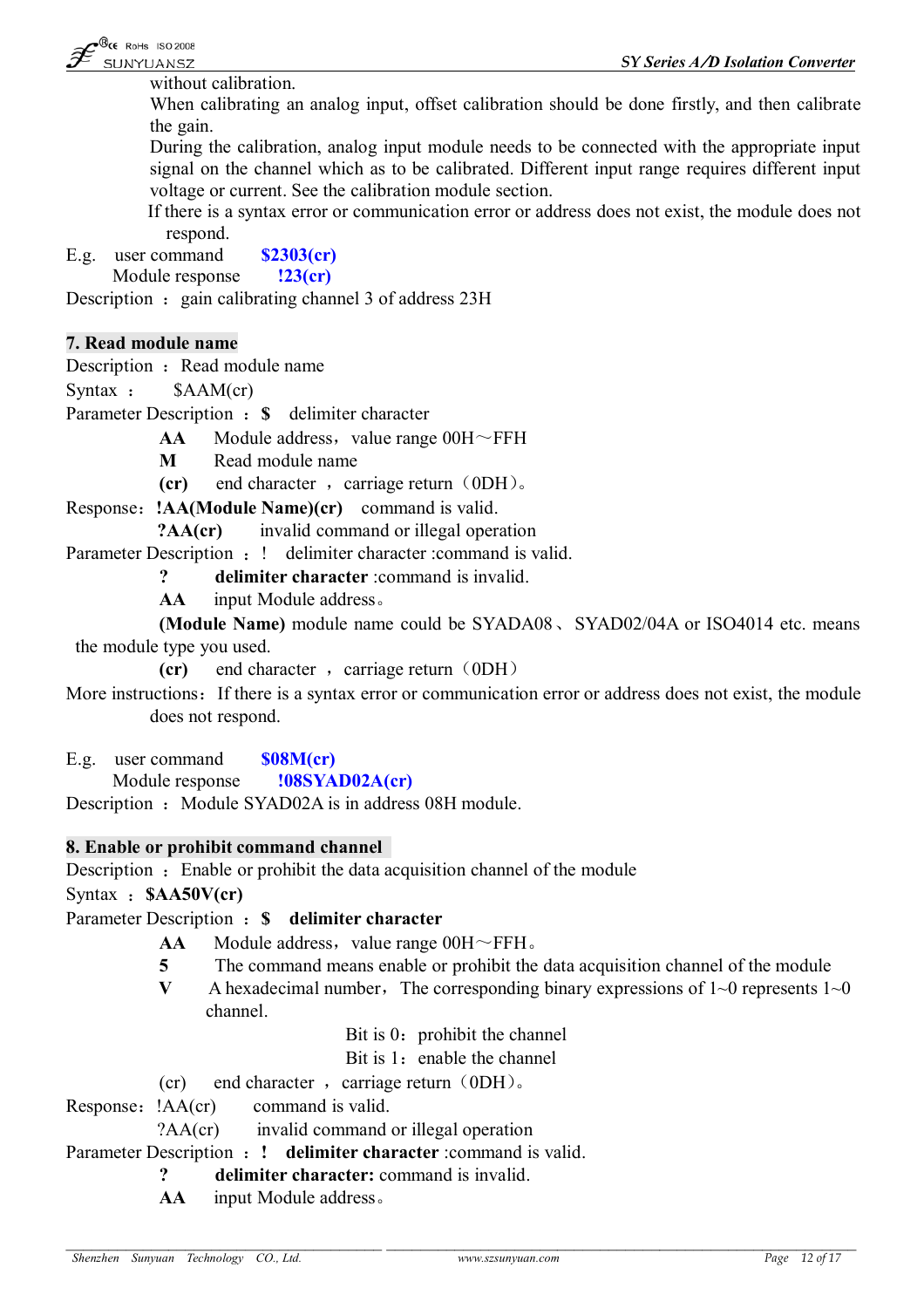without calibration.

When calibrating an analog input, offset calibration should be done firstly, and then calibrate the gain.

During the calibration, analog input module needs to be connected with the appropriate input signal on the channel which as to be calibrated. Different input range requires different input voltage or current. See the calibration module section.

If there is a syntax error or communication error or address does not exist, the module does not respond.

E.g. user command **\$2303(cr)** Module response **!23(cr)**

Description : gain calibrating channel 3 of address 23H

#### **7. Read module name**

Description : Read module name

Syntax : \$AAM(cr)

Parameter Description :**\$** delimiter character

 $AA$  Module address, value range  $00H \sim FFH$ 

**M** Read module name

**(cr)** end character, carriage return (0DH).

Response:**!AA(Module Name)(cr)** command is valid.

**?AA(cr)** invalid command or illegal operation

Parameter Description : ! delimiter character : command is valid.

**? delimiter character** :command is invalid.

**AA** input Module address。

**(Module Name)** module name could be SYADA08、SYAD02/04A or ISO4014 etc. means the module type you used.

**(cr)** end character, carriage return (0DH)

More instructions: If there is a syntax error or communication error or address does not exist, the module does not respond.

E.g. user command **\$08M(cr)**

Module response **!08SYAD02A(cr)**

Description : Module SYAD02A is in address 08H module.

#### **8. Enable or prohibit command channel**

Description : Enable or prohibit the data acquisition channel of the module

Syntax :**\$AA50V(cr)**

# Parameter Description :**\$ delimiter character**

- $AA$  Module address, value range  $00H \sim FFH$ .
- **5** The command means enable or prohibit the data acquisition channel of the module
- **V** A hexadecimal number, The corresponding binary expressions of  $1~0$  represents  $1~0$ channel.

Bit is  $0:$  prohibit the channel

Bit is 1: enable the channel

(cr) end character , carriage return  $(0DH)$ .

Response: !AA(cr) command is valid.

?AA(cr) invalid command or illegal operation

Parameter Description :**! delimiter character** :command is valid.

**? delimiter character:** command is invalid.

**AA** input Module address。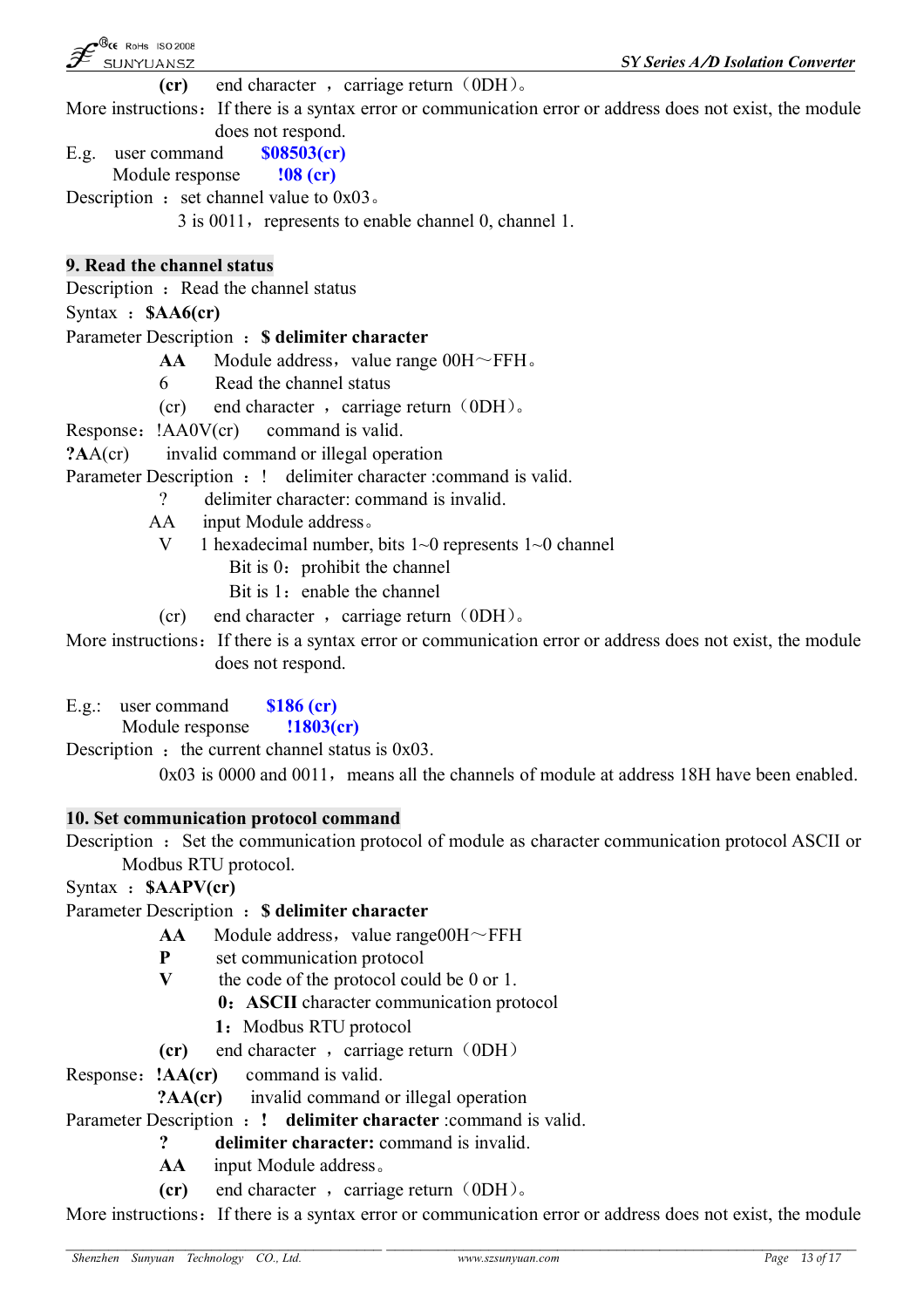$\mathcal{B}_{\mathsf{CE}}$  RoHs ISO 2008 SUNYUANSZ

*SY Series A/D Isolation Converter*

**(cr)** end character, carriage return (0DH).

More instructions: If there is a syntax error or communication error or address does not exist, the module does not respond.

E.g. user command **\$08503(cr)**

Module response **!08 (cr)**

Description : set channel value to  $0x03$ .

 $3$  is 0011, represents to enable channel 0, channel 1.

# **9. Read the channel status**

Description : Read the channel status

Syntax :**\$AA6(cr)**

# Parameter Description :**\$ delimiter character**

- $AA$  Module address, value range  $00H \sim FFH$ .
- 6 Read the channel status
- (cr) end character, carriage return  $(0DH)$ .

Response: !AA0V(cr) command is valid.

**?A**A(cr) invalid command or illegal operation

Parameter Description : ! delimiter character : command is valid.

? delimiter character: command is invalid.

- AA input Module address。
	- V 1 hexadecimal number, bits 1~0 represents 1~0 channel
		- Bit is  $0:$  prohibit the channel
		- Bit is  $1:$  enable the channel
	- (cr) end character, carriage return  $(0DH)$ .

More instructions: If there is a syntax error or communication error or address does not exist, the module does not respond.

E.g.: user command **\$186 (cr)** Module response **!1803(cr)**

Description : the current channel status is  $0x03$ .

 $0x03$  is 0000 and 0011, means all the channels of module at address 18H have been enabled.

# **10. Set communication protocol command**

Description : Set the communication protocol of module as character communication protocol ASCII or Modbus RTU protocol.

Syntax :**\$AAPV(cr)**

Parameter Description :**\$ delimiter character**

- $AA$  Module address, value range 00H $\sim$ FFH
- **P** set communication protocol<br> **V** the code of the protocol cou
	- **V** the code of the protocol could be 0 or 1.
		- **0:ASCII** character communication protocol
			- 1: Modbus RTU protocol
- **(cr)** end character, carriage return (0DH)

Response:**!AA(cr)** command is valid.

**?AA(cr)** invalid command or illegal operation

Parameter Description :**! delimiter character** :command is valid.

# **? delimiter character:** command is invalid.

- **AA** input Module address。
- **(cr)** end character, carriage return (0DH).

More instructions: If there is a syntax error or communication error or address does not exist, the module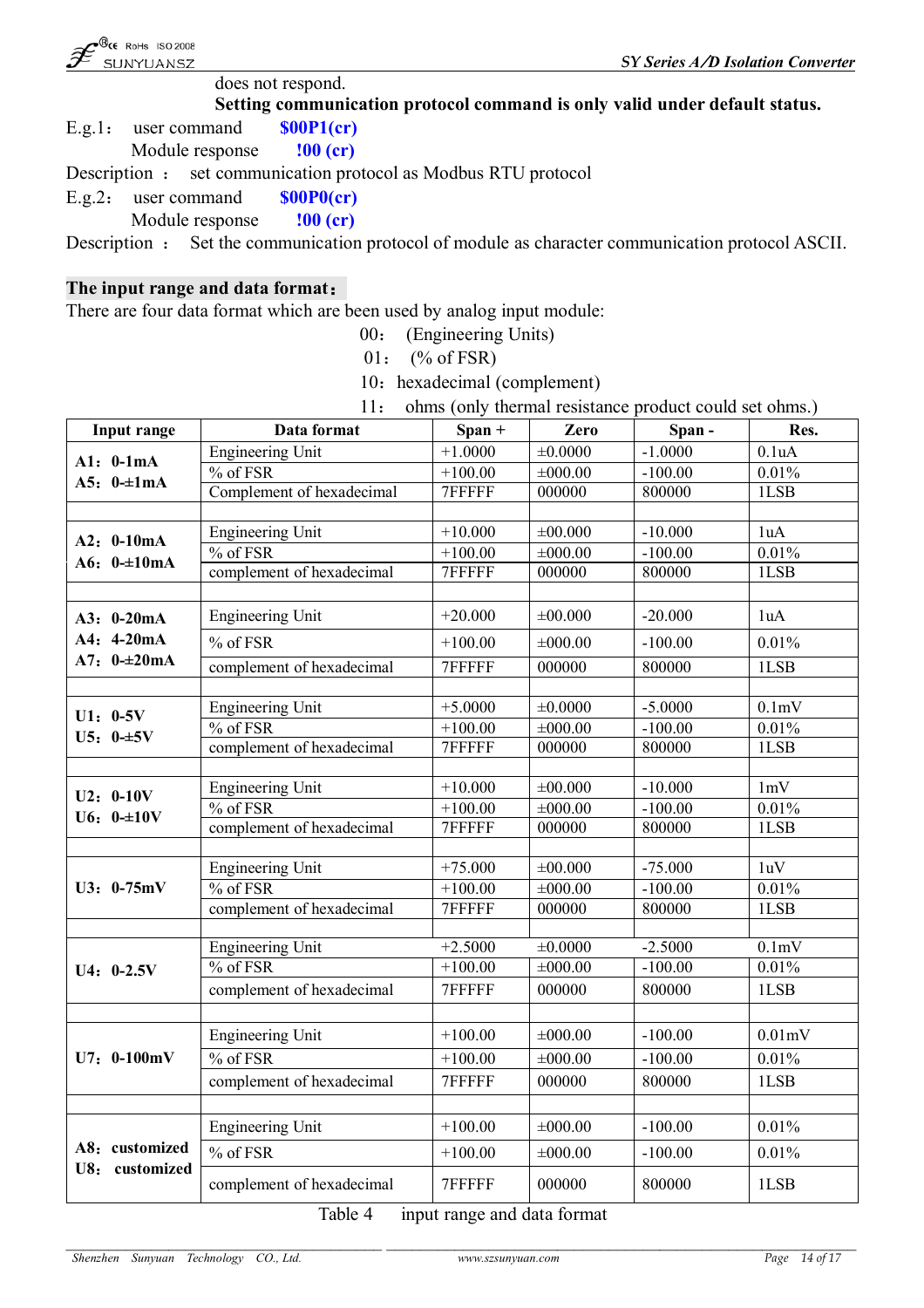

does not respond.

**Setting communication protocol command is only valid under default status.**

E.g.1: user command **\$00P1(cr)** Module response **!00 (cr)**

Description : set communication protocol as Modbus RTU protocol

E.g.2: user command **\$00P0(cr)**

Module response **!00 (cr)**

Description : Set the communication protocol of module as character communication protocol ASCII.

#### **The input range and data format:**

There are four data format which are been used by analog input module:

00: (Engineering Units)

 $01:$  (% of FSR)

10: hexadecimal (complement)

11: ohms (only thermal resistance product could set ohms.)

| Input range    | Data format                    | $Span +$  | Zero         | Span-     | Res.               |
|----------------|--------------------------------|-----------|--------------|-----------|--------------------|
| $A1: 0-1mA$    | <b>Engineering Unit</b>        | $+1.0000$ | ±0.0000      | $-1.0000$ | 0.1uA              |
| A5: $0-\pm1mA$ | % of FSR                       | $+100.00$ | ±000.00      | $-100.00$ | 0.01%              |
|                | Complement of hexadecimal      |           | 000000       | 800000    | 1LSB               |
|                |                                |           |              |           |                    |
| $A2: 0-10mA$   | <b>Engineering Unit</b>        | $+10.000$ | ±00.000      | $-10.000$ | 1uA                |
| A6: $0=10mA$   | % of FSR                       | $+100.00$ | ±000.00      | $-100.00$ | 0.01%              |
|                | complement of hexadecimal      | 7FFFFF    | 000000       | 800000    | 1LSB               |
|                |                                |           |              |           |                    |
| A3: 0-20mA     | <b>Engineering Unit</b>        | $+20.000$ | ±00.000      | $-20.000$ | 1uA                |
| $A4: 4-20mA$   | % of FSR                       | $+100.00$ | ±000.00      | $-100.00$ | 0.01%              |
| $A7: 0=20mA$   | complement of hexadecimal      | 7FFFFF    | 000000       | 800000    | 1LSB               |
|                |                                |           |              |           |                    |
| $U1: 0-5V$     | <b>Engineering Unit</b>        | $+5.0000$ | ±0.0000      | $-5.0000$ | 0.1mV              |
| $U5: 0-15V$    | $%$ of FSR                     | $+100.00$ | $\pm 000.00$ | $-100.00$ | 0.01%              |
|                | complement of hexadecimal      | 7FFFFF    | 000000       | 800000    | 1LSB               |
|                |                                |           |              |           |                    |
| $U2: 0-10V$    | <b>Engineering Unit</b>        | $+10.000$ | ±00.000      | $-10.000$ | 1mV                |
| $U6: 0=10V$    | $%$ of FSR                     | $+100.00$ | $\pm 000.00$ | $-100.00$ | 0.01%              |
|                | complement of hexadecimal      | 7FFFFF    | 000000       | 800000    | 1LSB               |
|                |                                |           |              |           |                    |
|                | Engineering Unit               | $+75.000$ | ±00.000      | $-75.000$ | 1uV                |
| U3: 0-75mV     | $\frac{9}{6}$ of FSR           | $+100.00$ | $\pm 000.00$ | $-100.00$ | 0.01%              |
|                | complement of hexadecimal      | 7FFFFF    | 000000       | 800000    | 1LSB               |
|                | <b>Engineering Unit</b>        | $+2.5000$ | ±0.0000      | $-2.5000$ | 0.1 <sub>m</sub> V |
|                | $\sqrt[9]{\phantom{1}}$ of FSR | $+100.00$ | $\pm 000.00$ | $-100.00$ | 0.01%              |
| $U4: 0-2.5V$   | complement of hexadecimal      | 7FFFFF    | 000000       | 800000    | 1LSB               |
|                |                                |           |              |           |                    |
|                |                                |           |              |           |                    |
|                | <b>Engineering Unit</b>        | $+100.00$ | ±000.00      | $-100.00$ | 0.01mV             |
| $U7: 0-100mV$  | % of FSR                       | $+100.00$ | ±000.00      | $-100.00$ | 0.01%              |
|                | complement of hexadecimal      | 7FFFFF    | 000000       | 800000    | 1LSB               |
|                |                                |           |              |           |                    |
|                | Engineering Unit               | $+100.00$ | ±000.00      | $-100.00$ | 0.01%              |
| A8: customized | % of FSR                       | $+100.00$ | ±000.00      | $-100.00$ | 0.01%              |
| U8: customized | complement of hexadecimal      | 7FFFFF    | 000000       | 800000    | 1LSB               |

Table 4 input range and data format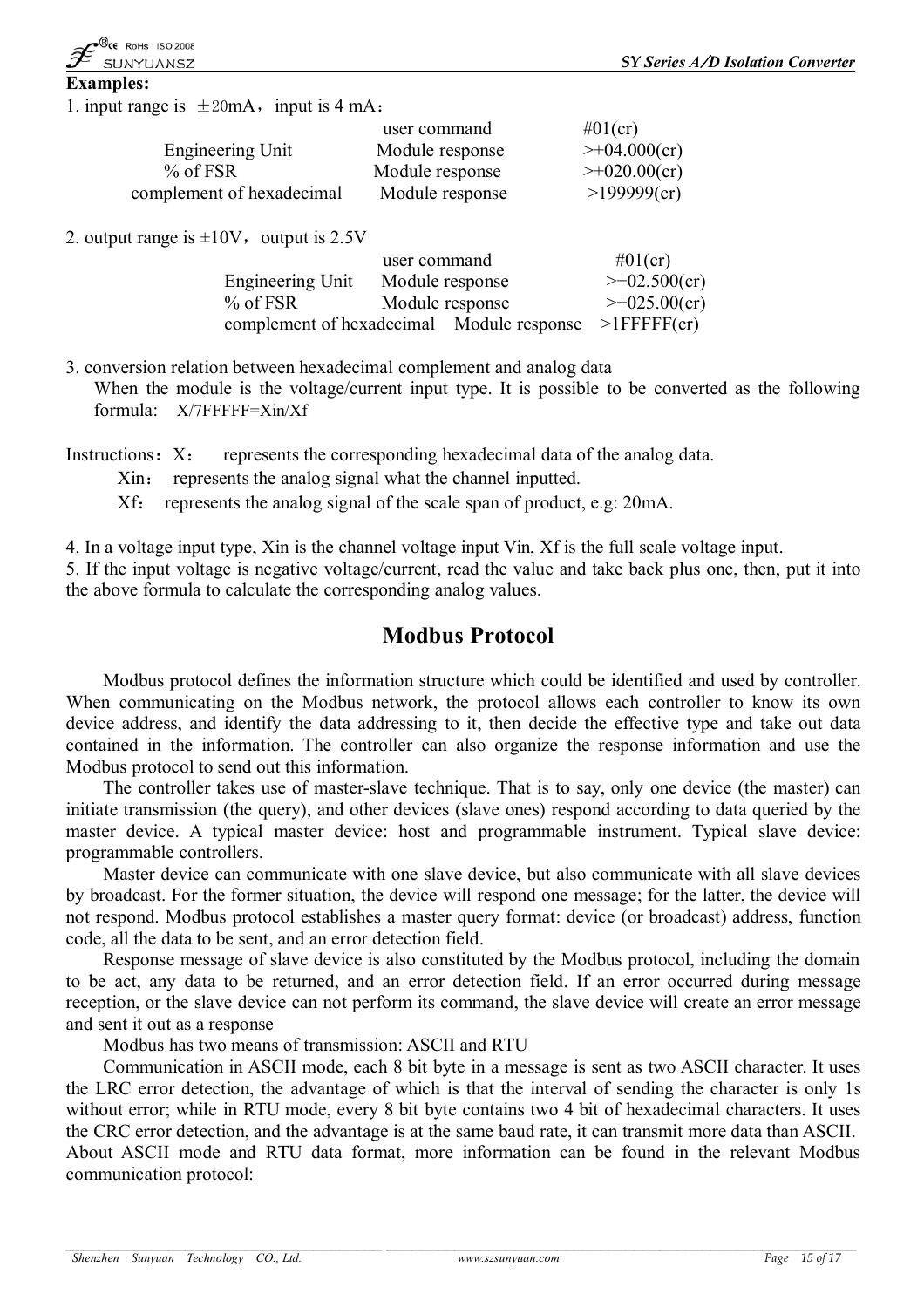**Examples:** 1. input range is  $\pm 20$ mA, input is 4 mA:

|                           | user command    | $\#01$ (cr)         |
|---------------------------|-----------------|---------------------|
| Engineering Unit          | Module response | $\geq +04.000$ (cr) |
| $%$ of FSR                | Module response | $\geq +020.00$ (cr) |
| complement of hexadecimal | Module response | >199999(cr)         |

2. output range is  $\pm 10V$ , output is 2.5V

|                                                             | user command |                 | $\#01$ (cr)         |
|-------------------------------------------------------------|--------------|-----------------|---------------------|
| Engineering Unit                                            |              | Module response | $\geq +02.500$ (cr) |
| $%$ of FSR                                                  |              | Module response | $\geq +025.00$ (cr) |
| complement of hexadecimal Module response $>1$ FFFFF $(cr)$ |              |                 |                     |

3. conversion relation between hexadecimal complement and analog data

When the module is the voltage/current input type. It is possible to be converted as the following formula: X/7FFFFF=Xin/Xf

Instructions:  $X:$  represents the corresponding hexadecimal data of the analog data.

Xin: represents the analog signal what the channel inputted.

Xf: represents the analog signal of the scale span of product, e.g: 20mA.

4. In a voltage input type, Xin is the channel voltage input Vin, Xf is the full scale voltage input.

5. If the input voltage is negative voltage/current, read the value and take back plus one, then, put it into the above formula to calculate the corresponding analog values.

# **Modbus Protocol**

Modbus protocol defines the information structure which could be identified and used by controller. When communicating on the Modbus network, the protocol allows each controller to know its own device address, and identify the data addressing to it, then decide the effective type and take out data contained in the information. The controller can also organize the response information and use the Modbus protocol to send out this information.

The controller takes use of master-slave technique. That is to say, only one device (the master) can initiate transmission (the query), and other devices (slave ones) respond according to data queried by the master device. A typical master device: host and programmable instrument. Typical slave device: programmable controllers.

Master device can communicate with one slave device, but also communicate with all slave devices by broadcast. For the former situation, the device will respond one message; for the latter, the device will not respond. Modbus protocol establishes a master query format: device (or broadcast) address, function code, all the data to be sent, and an error detection field.

Response message of slave device is also constituted by the Modbus protocol, including the domain to be act, any data to be returned, and an error detection field. If an error occurred during message reception, or the slave device can not perform its command, the slave device will create an error message and sent it out as a response

Modbus has two means of transmission: ASCII and RTU

Communication in ASCII mode, each 8 bit byte in a message is sent as two ASCII character. It uses the LRC error detection, the advantage of which is that the interval of sending the character is only 1s without error; while in RTU mode, every 8 bit byte contains two 4 bit of hexadecimal characters. It uses the CRC error detection, and the advantage is at the same baud rate, it can transmit more data than ASCII. About ASCII mode and RTU data format, more information can be found in the relevant Modbus communication protocol: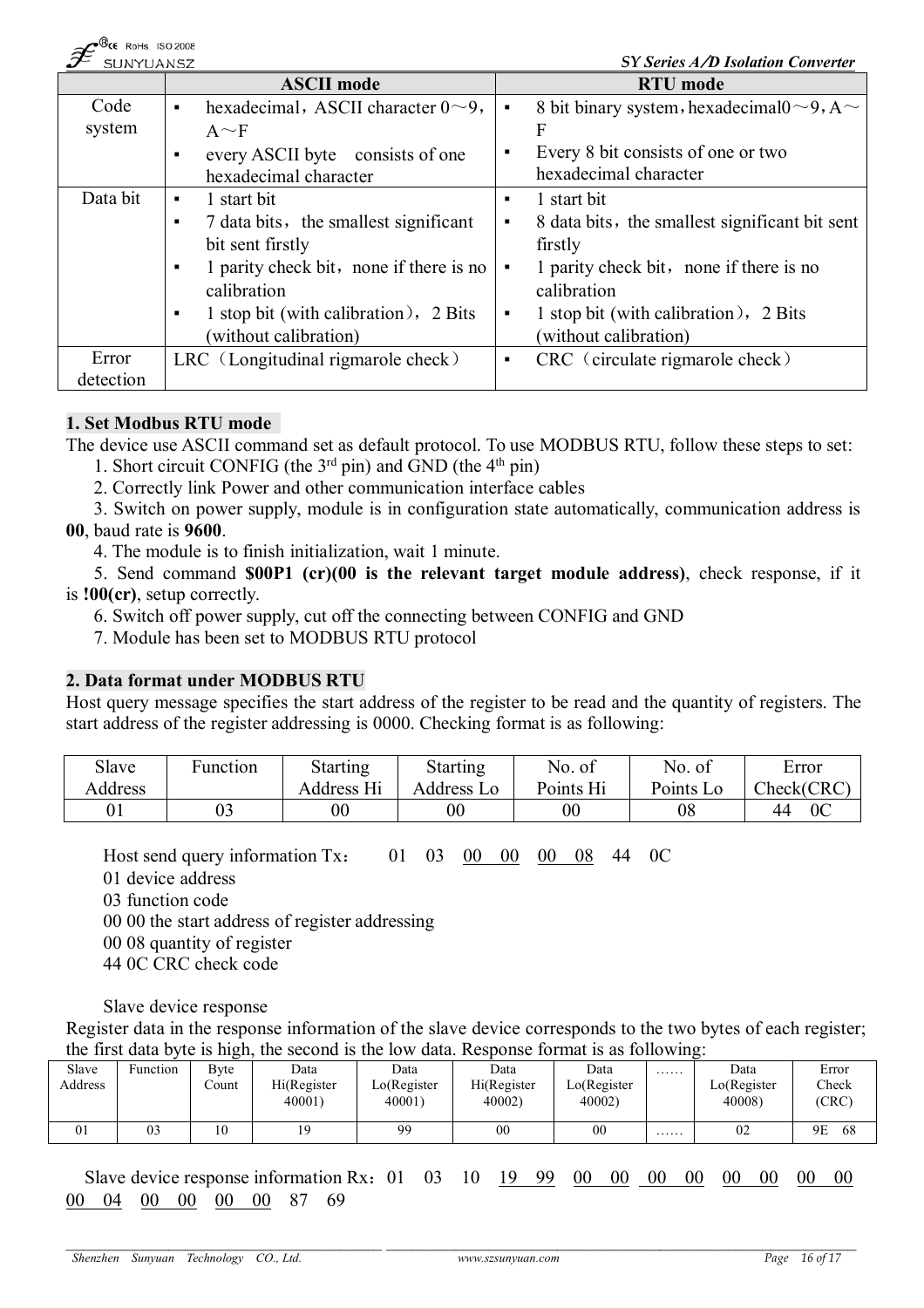| $-$ <b>CC</b> ROMS 130 ZUUG<br>SUNYUANSZ |                                                | SY Series A/D Isolation Converter                                        |
|------------------------------------------|------------------------------------------------|--------------------------------------------------------------------------|
|                                          | <b>ASCII</b> mode                              | <b>RTU</b> mode                                                          |
| Code                                     | hexadecimal, ASCII character $0 \sim 9$ ,<br>٠ | 8 bit binary system, hexadecimal $0 \sim 9$ , A $\sim$<br>$\blacksquare$ |
| system                                   | $A \sim F$                                     | F                                                                        |
|                                          | every ASCII byte consists of one<br>٠          | Every 8 bit consists of one or two<br>٠                                  |
|                                          | hexadecimal character                          | hexadecimal character                                                    |
| Data bit                                 | 1 start bit<br>٠                               | 1 start bit                                                              |
|                                          | 7 data bits, the smallest significant<br>٠     | 8 data bits, the smallest significant bit sent<br>п.                     |
|                                          | bit sent firstly                               | firstly                                                                  |
|                                          | 1 parity check bit, none if there is no<br>٠   | 1 parity check bit, none if there is no<br>$\blacksquare$                |
|                                          | calibration                                    | calibration                                                              |
|                                          | 1 stop bit (with calibration), 2 Bits<br>٠     | 1 stop bit (with calibration), 2 Bits<br>$\blacksquare$                  |
|                                          | (without calibration)                          | (without calibration)                                                    |
| Error                                    | LRC (Longitudinal rigmarole check)             | CRC (circulate rigmarole check)<br>$\blacksquare$                        |
| detection                                |                                                |                                                                          |

# **1. Set Modbus RTU mode**

 $\mathbb{R}$ <sub>cc</sub>  $\mathbb{R}$  ...  $\mathbb{R}$   $\mathbb{R}$   $\mathbb{R}$ 

The device use ASCII command set as default protocol. To use MODBUS RTU, follow these steps to set:

- 1. Short circuit CONFIG (the  $3<sup>rd</sup>$  pin) and GND (the  $4<sup>th</sup>$  pin)
- 2. Correctly link Power and other communication interface cables
- 3. Switch on power supply, module is in configuration state automatically, communication address is **00**, baud rate is **9600**.
	- 4. The module is to finish initialization, wait 1 minute.

5. Send command **\$00P1 (cr)(00 is the relevant target module address)**, check response, if it is **!00(cr)**, setup correctly.

6. Switch off power supply, cut off the connecting between CONFIG and GND

7. Module has been set to MODBUS RTU protocol

# **2. Data format under MODBUS RTU**

Host query message specifies the start address of the register to be read and the quantity of registers. The start address of the register addressing is 0000. Checking format is as following:

| Slave   | Function | <b>Starting</b> | <b>Starting</b> | No. of    | No. of    | Error                |
|---------|----------|-----------------|-----------------|-----------|-----------|----------------------|
| Address |          | Address Hi      | Address Lo      | Points Hi | Points Lo | Check(CRC)           |
|         | 03       | $00\,$          | 00              | $00\,$    | 08        | 0 <sup>C</sup><br>44 |

Host send query information Tx: 01 03 00 00 00 08 44 0C

01 device address

03 function code

00 00 the start address of register addressing

00 08 quantity of register

44 0C CRC check code

Slave device response

Register data in the response information of the slave device corresponds to the two bytes of each register; the first data byte is high, the second is the low data. Response format is as following:

|         |          | ັ            |                       |                                |                       |                       |   |                       |                |
|---------|----------|--------------|-----------------------|--------------------------------|-----------------------|-----------------------|---|-----------------------|----------------|
| Slave   | Function | <b>B</b> vte | Data                  | Data                           | Data                  | Data                  | . | Data                  | Error          |
| Address |          | ∠ount        | Hi(Register<br>40001) | $\text{LO}$ (Register<br>40001 | Hi(Register<br>40002) | LO(Register<br>40002) |   | LO(Register<br>40008) | Check<br>(CRC) |
|         | 03       | 10           | <b>Q</b>              | 99                             | 0 <sup>0</sup>        | 0 <sub>0</sub>        | . | 02                    | 68<br>9Ε       |

Slave device response information Rx: 01 03 10 19 99 00 00 00 00 00 00 00 00 00 00 00 04 00 00 00 00 87 69